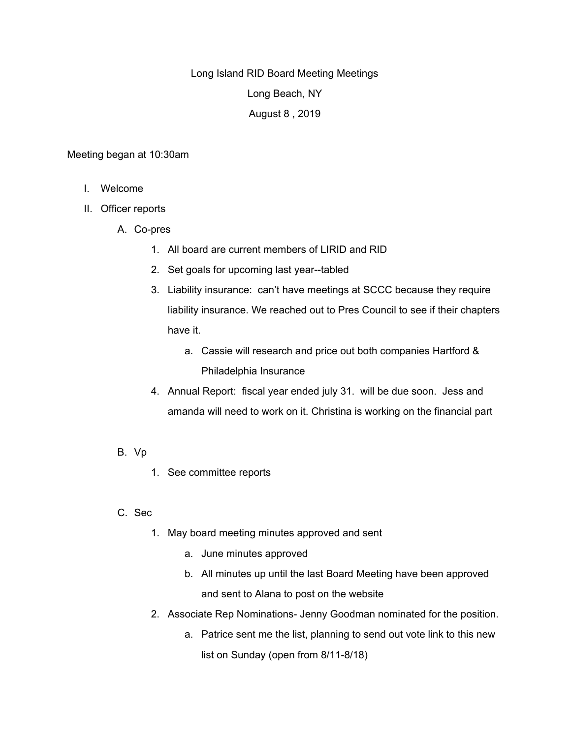Long Island RID Board Meeting Meetings Long Beach, NY August 8 , 2019

## Meeting began at 10:30am

- I. Welcome
- II. Officer reports
	- A. Co-pres
		- 1. All board are current members of LIRID and RID
		- 2. Set goals for upcoming last year--tabled
		- 3. Liability insurance: can't have meetings at SCCC because they require liability insurance. We reached out to Pres Council to see if their chapters have it.
			- a. Cassie will research and price out both companies Hartford & Philadelphia Insurance
		- 4. Annual Report: fiscal year ended july 31. will be due soon. Jess and amanda will need to work on it. Christina is working on the financial part
	- B. Vp
- 1. See committee reports
- C. Sec
	- 1. May board meeting minutes approved and sent
		- a. June minutes approved
		- b. All minutes up until the last Board Meeting have been approved and sent to Alana to post on the website
	- 2. Associate Rep Nominations- Jenny Goodman nominated for the position.
		- a. Patrice sent me the list, planning to send out vote link to this new list on Sunday (open from 8/11-8/18)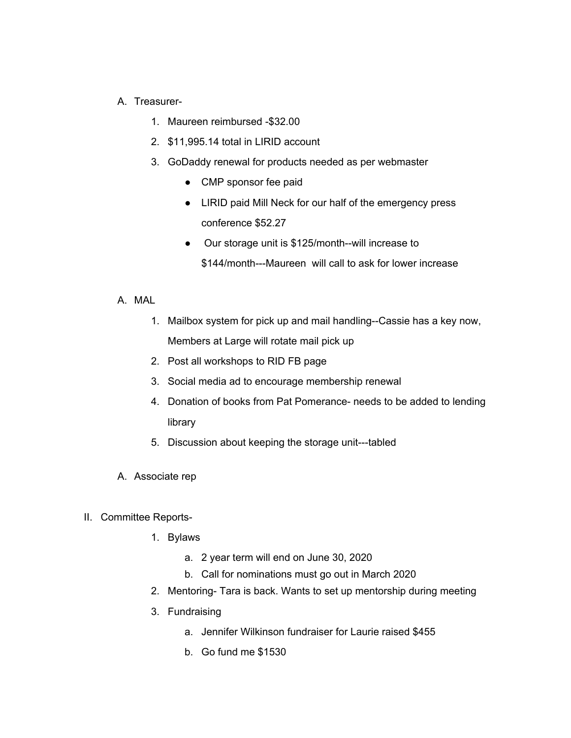## A. Treasurer-

- 1. Maureen reimbursed -\$32.00
- 2. \$11,995.14 total in LIRID account
- 3. GoDaddy renewal for products needed as per webmaster
	- CMP sponsor fee paid
	- LIRID paid Mill Neck for our half of the emergency press conference \$52.27
	- Our storage unit is \$125/month--will increase to \$144/month---Maureen will call to ask for lower increase
- A. MAL
	- 1. Mailbox system for pick up and mail handling--Cassie has a key now, Members at Large will rotate mail pick up
	- 2. Post all workshops to RID FB page
	- 3. Social media ad to encourage membership renewal
	- 4. Donation of books from Pat Pomerance- needs to be added to lending library
	- 5. Discussion about keeping the storage unit---tabled
- A. Associate rep
- II. Committee Reports-
	- 1. Bylaws
		- a. 2 year term will end on June 30, 2020
		- b. Call for nominations must go out in March 2020
	- 2. Mentoring- Tara is back. Wants to set up mentorship during meeting
	- 3. Fundraising
		- a. Jennifer Wilkinson fundraiser for Laurie raised \$455
		- b. Go fund me \$1530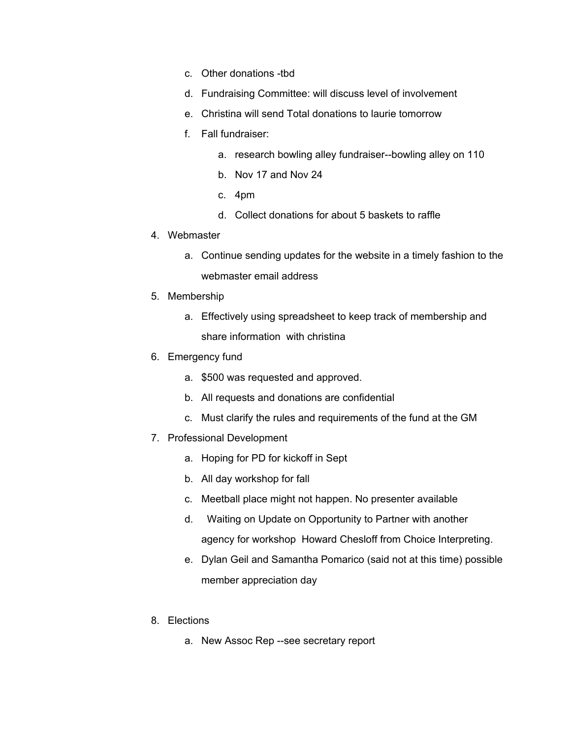- c. Other donations -tbd
- d. Fundraising Committee: will discuss level of involvement
- e. Christina will send Total donations to laurie tomorrow
- f. Fall fundraiser:
	- a. research bowling alley fundraiser--bowling alley on 110
	- b. Nov 17 and Nov 24
	- c. 4pm
	- d. Collect donations for about 5 baskets to raffle
- 4. Webmaster
	- a. Continue sending updates for the website in a timely fashion to the webmaster email address
- 5. Membership
	- a. Effectively using spreadsheet to keep track of membership and share information with christina
- 6. Emergency fund
	- a. \$500 was requested and approved.
	- b. All requests and donations are confidential
	- c. Must clarify the rules and requirements of the fund at the GM
- 7. Professional Development
	- a. Hoping for PD for kickoff in Sept
	- b. All day workshop for fall
	- c. Meetball place might not happen. No presenter available
	- d. Waiting on Update on Opportunity to Partner with another agency for workshop Howard Chesloff from Choice Interpreting.
	- e. Dylan Geil and Samantha Pomarico (said not at this time) possible member appreciation day
- 8. Elections
	- a. New Assoc Rep --see secretary report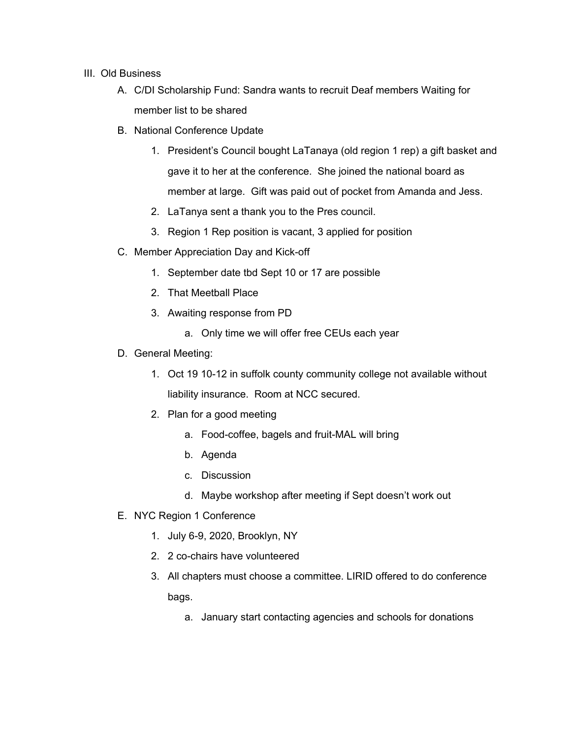## III. Old Business

- A. C/DI Scholarship Fund: Sandra wants to recruit Deaf members Waiting for member list to be shared
- B. National Conference Update
	- 1. President's Council bought LaTanaya (old region 1 rep) a gift basket and gave it to her at the conference. She joined the national board as member at large. Gift was paid out of pocket from Amanda and Jess.
	- 2. LaTanya sent a thank you to the Pres council.
	- 3. Region 1 Rep position is vacant, 3 applied for position
- C. Member Appreciation Day and Kick-off
	- 1. September date tbd Sept 10 or 17 are possible
	- 2. That Meetball Place
	- 3. Awaiting response from PD
		- a. Only time we will offer free CEUs each year
- D. General Meeting:
	- 1. Oct 19 10-12 in suffolk county community college not available without liability insurance. Room at NCC secured.
	- 2. Plan for a good meeting
		- a. Food-coffee, bagels and fruit-MAL will bring
		- b. Agenda
		- c. Discussion
		- d. Maybe workshop after meeting if Sept doesn't work out
- E. NYC Region 1 Conference
	- 1. July 6-9, 2020, Brooklyn, NY
	- 2. 2 co-chairs have volunteered
	- 3. All chapters must choose a committee. LIRID offered to do conference bags.
		- a. January start contacting agencies and schools for donations